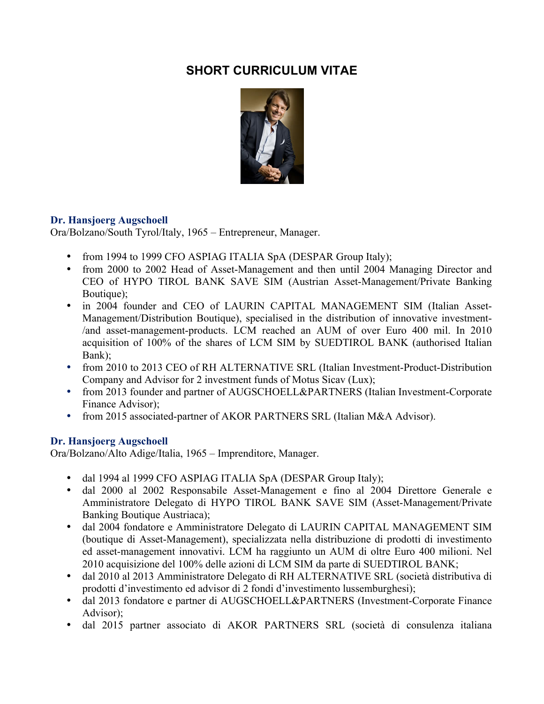## **SHORT CURRICULUM VITAE**



## **Dr. Hansjoerg Augschoell**

Ora/Bolzano/South Tyrol/Italy, 1965 – Entrepreneur, Manager.

- from 1994 to 1999 CFO ASPIAG ITALIA SpA (DESPAR Group Italy);
- from 2000 to 2002 Head of Asset-Management and then until 2004 Managing Director and CEO of HYPO TIROL BANK SAVE SIM (Austrian Asset-Management/Private Banking Boutique);
- in 2004 founder and CEO of LAURIN CAPITAL MANAGEMENT SIM (Italian Asset-Management/Distribution Boutique), specialised in the distribution of innovative investment- /and asset-management-products. LCM reached an AUM of over Euro 400 mil. In 2010 acquisition of 100% of the shares of LCM SIM by SUEDTIROL BANK (authorised Italian Bank);
- from 2010 to 2013 CEO of RH ALTERNATIVE SRL (Italian Investment-Product-Distribution Company and Advisor for 2 investment funds of Motus Sicav (Lux);
- from 2013 founder and partner of AUGSCHOELL&PARTNERS (Italian Investment-Corporate Finance Advisor);
- from 2015 associated-partner of AKOR PARTNERS SRL (Italian M&A Advisor).

## **Dr. Hansjoerg Augschoell**

Ora/Bolzano/Alto Adige/Italia, 1965 – Imprenditore, Manager.

- dal 1994 al 1999 CFO ASPIAG ITALIA SpA (DESPAR Group Italy);
- dal 2000 al 2002 Responsabile Asset-Management e fino al 2004 Direttore Generale e Amministratore Delegato di HYPO TIROL BANK SAVE SIM (Asset-Management/Private Banking Boutique Austriaca);
- dal 2004 fondatore e Amministratore Delegato di LAURIN CAPITAL MANAGEMENT SIM (boutique di Asset-Management), specializzata nella distribuzione di prodotti di investimento ed asset-management innovativi. LCM ha raggiunto un AUM di oltre Euro 400 milioni. Nel 2010 acquisizione del 100% delle azioni di LCM SIM da parte di SUEDTIROL BANK;
- dal 2010 al 2013 Amministratore Delegato di RH ALTERNATIVE SRL (società distributiva di prodotti d'investimento ed advisor di 2 fondi d'investimento lussemburghesi);
- dal 2013 fondatore e partner di AUGSCHOELL&PARTNERS (Investment-Corporate Finance Advisor);
- dal 2015 partner associato di AKOR PARTNERS SRL (società di consulenza italiana